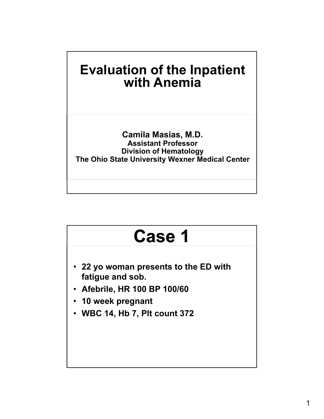

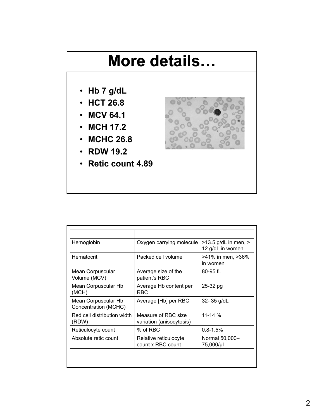### **More details…**

- **Hb 7 g/dL**
- **HCT 26.8**
- **MCV 64.1**
- **MCH 17.2**
- **MCHC 26.8**
- **RDW 19.2**
- **Retic count 4.89**



| Hemoglobin                                  | Oxygen carrying molecule                        | $>13.5$ g/dL in men, $>$<br>12 g/dL in women |
|---------------------------------------------|-------------------------------------------------|----------------------------------------------|
| Hematocrit                                  | Packed cell volume                              | >41% in men, >36%<br>in women                |
| Mean Corpuscular<br>Volume (MCV)            | Average size of the<br>patient's RBC            | $80 - 95$ fL                                 |
| Mean Corpuscular Hb<br>(MCH)                | Average Hb content per<br>RBC.                  | 25-32 pg                                     |
| Mean Corpuscular Hb<br>Concentration (MCHC) | Average [Hb] per RBC                            | 32-35 g/dL                                   |
| Red cell distribution width<br>(RDW)        | Measure of RBC size<br>variation (anisocytosis) | $11 - 14%$                                   |
| Reticulocyte count                          | % of RBC                                        | $0.8 - 1.5%$                                 |
| Absolute retic count                        | Relative reticulocyte<br>count x RBC count      | Normal 50,000-<br>75,000/µl                  |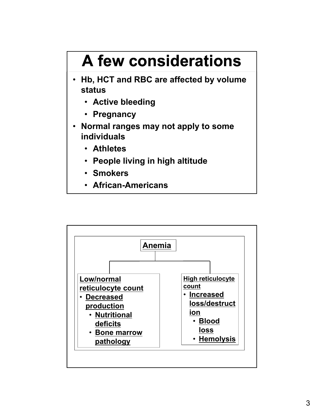# **A few considerations**

- **Hb, HCT and RBC are affected by volume status** 
	- **Active bleeding**
	- **Pregnancy**
- **Normal ranges may not apply to some individuals** 
	- **Athletes**
	- **People living in high altitude**
	- **Smokers**
	- **African-Americans**

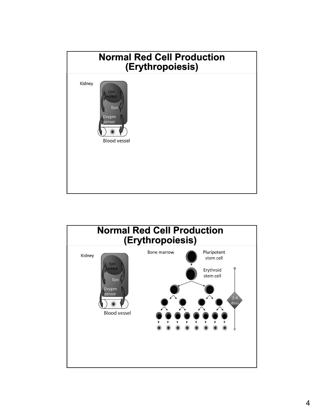

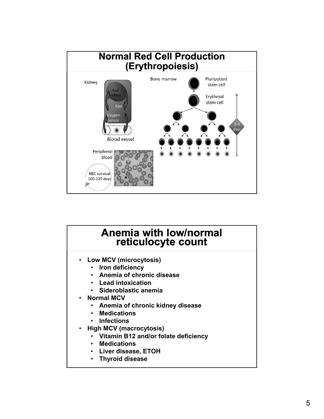

#### **Anemia with low/normal reticulocyte count**

- **Low MCV (microcytosis)**
	- **Iron deficiency**
	- **Anemia of chronic disease**
	- **Lead intoxication**
	- **Sideroblastic anemia**
- **Normal MCV**
	- **Anemia of chronic kidney disease**
	- **Medications**
	- **Infections**
- **High MCV (macrocytosis)**
	- **Vitamin B12 and/or folate deficiency**
	- **Medications**
	- **Liver disease, ETOH**
	- **Thyroid disease**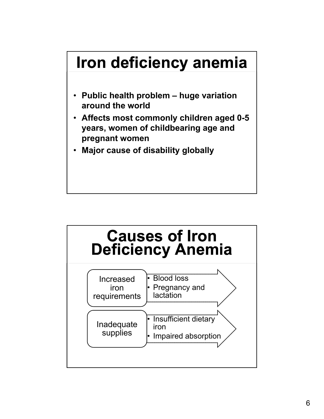# **Iron deficiency anemia**

- **Public health problem huge variation around the world**
- **Affects most commonly children aged 0-5 years, women of childbearing age and pregnant women**
- **Major cause of disability globally**

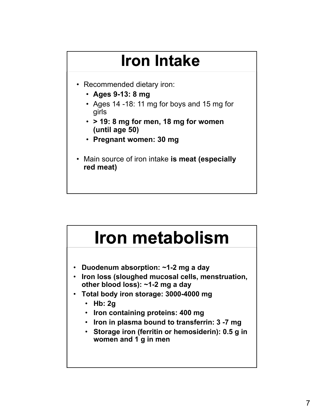# **Iron Intake**

- Recommended dietary iron:
	- **Ages 9-13: 8 mg**
	- Ages 14 -18: 11 mg for boys and 15 mg for girls
	- **> 19: 8 mg for men, 18 mg for women (until age 50)**
	- **Pregnant women: 30 mg**
- Main source of iron intake **is meat (especially red meat)**

# **Iron metabolism**

- **Duodenum absorption: ~1-2 mg a day**
- **Iron loss (sloughed mucosal cells, menstruation, other blood loss): ~1-2 mg a day**
- **Total body iron storage: 3000-4000 mg**
	- **Hb: 2g**
	- **Iron containing proteins: 400 mg**
	- **Iron in plasma bound to transferrin: 3 -7 mg**
	- **Storage iron (ferritin or hemosiderin): 0.5 g in women and 1 g in men**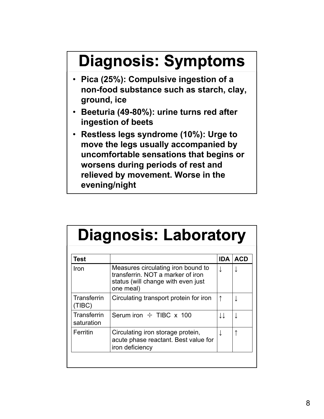# **Diagnosis: Symptoms**

- **Pica (25%): Compulsive ingestion of a non-food substance such as starch, clay, ground, ice**
- **Beeturia (49-80%): urine turns red after ingestion of beets**
- **Restless legs syndrome (10%): Urge to move the legs usually accompanied by uncomfortable sensations that begins or worsens during periods of rest and relieved by movement. Worse in the evening/night**

# **Diagnosis: Laboratory**

| Test                      |                                                                                                                            | <b>IDA</b> | <b>ACD</b> |
|---------------------------|----------------------------------------------------------------------------------------------------------------------------|------------|------------|
| Iron                      | Measures circulating iron bound to<br>transferrin. NOT a marker of iron<br>status (will change with even just<br>one meal) |            |            |
| Transferrin<br>(TIBC)     | Circulating transport protein for iron                                                                                     |            |            |
| Transferrin<br>saturation | Serum iron $\div$ TIBC x 100                                                                                               |            |            |
| Ferritin                  | Circulating iron storage protein,<br>acute phase reactant. Best value for<br>iron deficiency                               |            |            |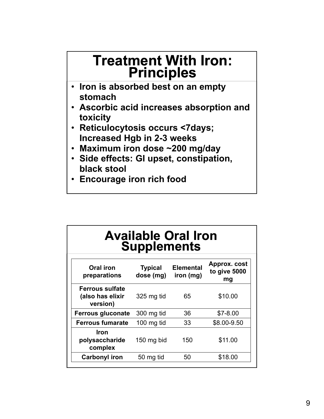### **Treatment With Iron: Principles**

- **Iron is absorbed best on an empty stomach**
- **Ascorbic acid increases absorption and toxicity**
- **Reticulocytosis occurs <7days; Increased Hgb in 2-3 weeks**
- **Maximum iron dose ~200 mg/day**
- **Side effects: GI upset, constipation, black stool**
- **Encourage iron rich food**

#### **Available Oral Iron Supplements**

| Oral iron<br>preparations                              | <b>Typical</b><br>dose (mg) | <b>Elemental</b><br>iron (mg) | Approx. cost<br>to give 5000<br>mg |
|--------------------------------------------------------|-----------------------------|-------------------------------|------------------------------------|
| <b>Ferrous sulfate</b><br>(also has elixir<br>version) | 325 mg tid                  | 65                            | \$10.00                            |
| <b>Ferrous gluconate</b>                               | 300 mg tid                  | 36                            | $$7-8.00$                          |
| <b>Ferrous fumarate</b>                                | 100 mg tid                  | 33                            | \$8.00-9.50                        |
| Iron<br>polysaccharide<br>complex                      | 150 mg bid                  | 150                           | \$11.00                            |
| <b>Carbonyl iron</b>                                   | 50 mg tid                   | 50                            | \$18.00                            |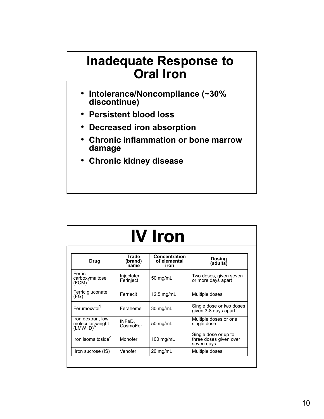### **Inadequate Response to Oral Iron**

- **Intolerance/Noncompliance (~30% discontinue)**
- **Persistent blood loss**
- **Decreased iron absorption**
- **Chronic inflammation or bone marrow damage**
- **Chronic kidney disease**

| <b>IV Iron</b>                                    |                          |                                       |                                                              |
|---------------------------------------------------|--------------------------|---------------------------------------|--------------------------------------------------------------|
| <b>Drug</b>                                       | Trade<br>(brand)<br>name | Concentration<br>of elemental<br>iron | <b>Dosing</b><br>(adults)                                    |
| Ferric<br>carboxymaltose<br>(FCM)                 | Injectafer,<br>Ferinject | 50 mg/mL                              | Two doses, given seven<br>or more days apart                 |
| Ferric gluconate<br>(FG)                          | Ferrlecit                | 12.5 $mg/mL$                          | Multiple doses                                               |
| Ferumoxytol                                       | Feraheme                 | 30 mg/mL                              | Single dose or two doses<br>given 3-8 days apart             |
| Iron dextran, low<br>molecular weight<br>(LMW ID) | INFeD,<br>CosmoFer       | 50 mg/mL                              | Multiple doses or one<br>single dose                         |
| Iron isomaltoside <sup>4</sup>                    | Monofer                  | 100 mg/mL                             | Single dose or up to<br>three doses given over<br>seven days |
| Iron sucrose (IS)                                 | Venofer                  | 20 mg/mL                              | Multiple doses                                               |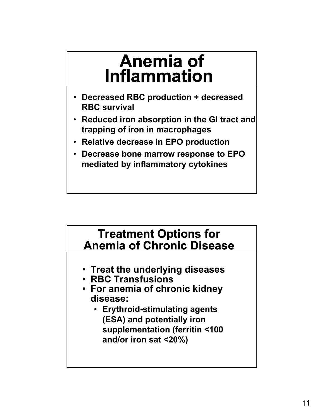### **Anemia of Inflammation**

- **Decreased RBC production + decreased RBC survival**
- **Reduced iron absorption in the GI tract and trapping of iron in macrophages**
- **Relative decrease in EPO production**
- **Decrease bone marrow response to EPO mediated by inflammatory cytokines**

#### **Treatment Options for Anemia of Chronic Disease**

- **Treat the underlying diseases**
- **RBC Transfusions**
- **For anemia of chronic kidney disease:** 
	- **Erythroid-stimulating agents (ESA) and potentially iron supplementation (ferritin <100 and/or iron sat <20%)**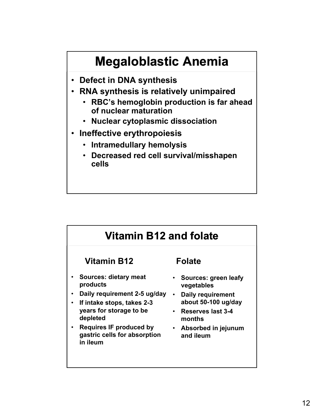### **Megaloblastic Anemia**

- **Defect in DNA synthesis**
- **RNA synthesis is relatively unimpaired**
	- **RBC's hemoglobin production is far ahead of nuclear maturation**
	- **Nuclear cytoplasmic dissociation**
- **Ineffective erythropoiesis**
	- **Intramedullary hemolysis**
	- **Decreased red cell survival/misshapen cells**

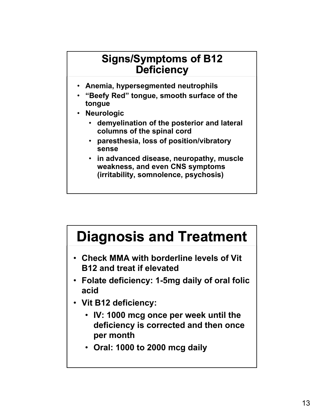#### **Signs/Symptoms of B12 Deficiency**

- **Anemia, hypersegmented neutrophils**
- **"Beefy Red" tongue, smooth surface of the tongue**
- **Neurologic**
	- **demyelination of the posterior and lateral columns of the spinal cord**
	- **paresthesia, loss of position/vibratory sense**
	- **in advanced disease, neuropathy, muscle weakness, and even CNS symptoms (irritability, somnolence, psychosis)**



- **Check MMA with borderline levels of Vit B12 and treat if elevated**
- **Folate deficiency: 1-5mg daily of oral folic acid**
- **Vit B12 deficiency:** 
	- **IV: 1000 mcg once per week until the deficiency is corrected and then once per month**
	- **Oral: 1000 to 2000 mcg daily**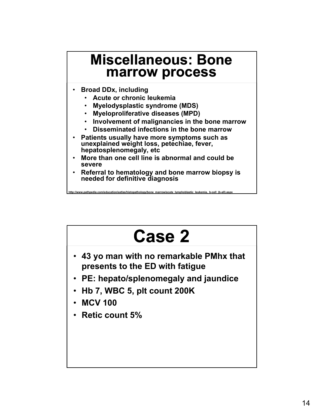### **Miscellaneous: Bone marrow process**

- **Broad DDx, including**
	- **Acute or chronic leukemia**
	- **Myelodysplastic syndrome (MDS)**
	- **Myeloproliferative diseases (MPD)**
	- **Involvement of malignancies in the bone marrow**
	- **Disseminated infections in the bone marrow**
- **Patients usually have more symptoms such as unexplained weight loss, petechiae, fever, hepatosplenomegaly, etc**
- **More than one cell line is abnormal and could be severe**

**http://www.pathpedia.com/education/eatlas/histopathology/bone\_marrow/acute\_lymphoblastic\_leukemia,\_b-cell\_(b-all).aspx**

• **Referral to hematology and bone marrow biopsy is needed for definitive diagnosis**

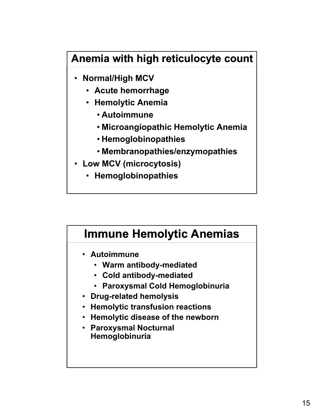#### **Anemia with high reticulocyte count**

- **Normal/High MCV**
	- **Acute hemorrhage**
	- **Hemolytic Anemia**
		- **Autoimmune**
		- **Microangiopathic Hemolytic Anemia**
		- **Hemoglobinopathies**
		- **Membranopathies/enzymopathies**
- **Low MCV (microcytosis)**
	- **Hemoglobinopathies**

#### **Immune Hemolytic Anemias**

- **Autoimmune**
	- **Warm antibody-mediated**
	- **Cold antibody-mediated**
	- **Paroxysmal Cold Hemoglobinuria**
- **Drug-related hemolysis**
- **Hemolytic transfusion reactions**
- **Hemolytic disease of the newborn**
- **Paroxysmal Nocturnal Hemoglobinuria**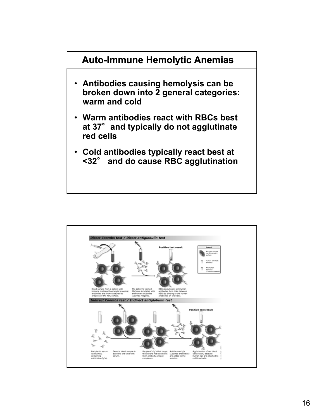

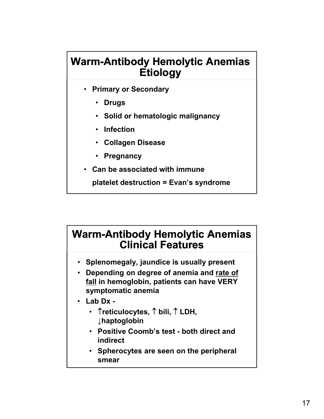#### **Warm-Antibody Hemolytic Anemias Etiology**

- **Primary or Secondary**
	- **Drugs**
	- **Solid or hematologic malignancy**
	- **Infection**
	- **Collagen Disease**
	- **Pregnancy**
- **Can be associated with immune**

**platelet destruction = Evan's syndrome**

#### **Warm-Antibody Hemolytic Anemias Clinical Features**

- **Splenomegaly, jaundice is usually present**
- **Depending on degree of anemia and rate of fall in hemoglobin, patients can have VERY symptomatic anemia**
- **Lab Dx -**
	- **Treticulocytes,**  $\uparrow$  **bili,**  $\uparrow$  **LDH, ↓haptoglobin**
	- **Positive Coomb's test both direct and indirect**
	- **Spherocytes are seen on the peripheral smear**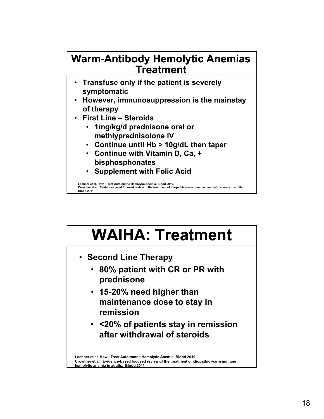#### **Warm-Antibody Hemolytic Anemias Treatment**

- **Transfuse only if the patient is severely symptomatic**
- **However, immunosuppression is the mainstay of therapy**
- **First Line Steroids**
	- **1mg/kg/d prednisone oral or methlyprednisolone IV**
	- **Continue until Hb > 10g/dL then taper**
	- **Continue with Vitamin D, Ca, + bisphosphonates**
	- **Supplement with Folic Acid**

**Lechner et al. How I Treat Autoimmne Hemolytic Anemia. Blood 2010. Crowther et al. Evidence-based focused review of the treatment of idiopathic warm immune hemolytic anemia in adults. Blood 2011**

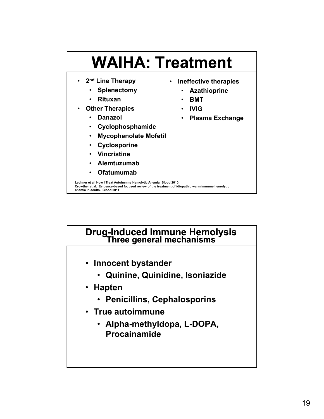

# **Drug-Induced Immune Hemolysis Three general mechanisms**

- **Innocent bystander**
	- **Quinine, Quinidine, Isoniazide**
- **Hapten**
	- **Penicillins, Cephalosporins**
- **True autoimmune**
	- **Alpha-methyldopa, L-DOPA, Procainamide**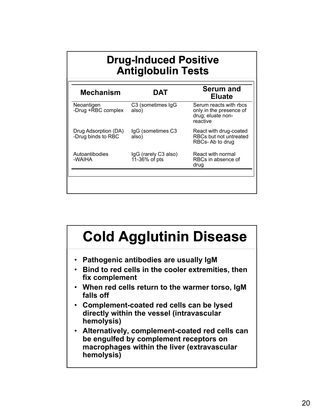|                                            | <b>Drug-Induced Positive</b><br><b>Antiglobulin Tests</b> |                                                                                    |  |
|--------------------------------------------|-----------------------------------------------------------|------------------------------------------------------------------------------------|--|
| <b>Mechanism</b>                           | DAT                                                       | <b>Serum and</b><br><b>Eluate</b>                                                  |  |
| Neoantigen<br>-Drug +RBC complex           | C3 (sometimes IgG<br>also)                                | Serum reacts with rbcs<br>only in the presence of<br>drug; eluate non-<br>reactive |  |
| Drug Adsorption (DA)<br>-Drug binds to RBC | IgG (sometimes C3<br>also)                                | React with drug-coated<br>RBCs but not untreated<br>RBCs-Ab to drug                |  |
| Autoantibodies<br>-WAIHA                   | IgG (rarely C3 also)<br>11-36% of pts                     | React with normal<br>RBCs in absence of<br>drug                                    |  |
|                                            |                                                           |                                                                                    |  |

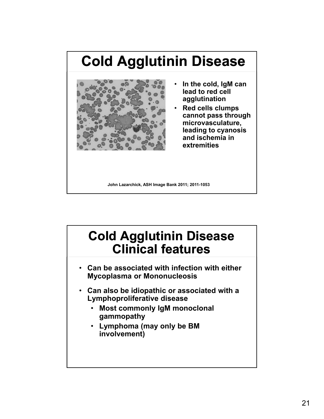### **Cold Agglutinin Disease**



- **In the cold, IgM can lead to red cell agglutination**
- **Red cells clumps cannot pass through microvasculature, leading to cyanosis and ischemia in extremities**

**John Lazarchick, ASH Image Bank 2011; 2011-1053**

### **Cold Agglutinin Disease Clinical features**

- **Can be associated with infection with either Mycoplasma or Mononucleosis**
- **Can also be idiopathic or associated with a Lymphoproliferative disease**
	- **Most commonly IgM monoclonal gammopathy**
	- **Lymphoma (may only be BM involvement)**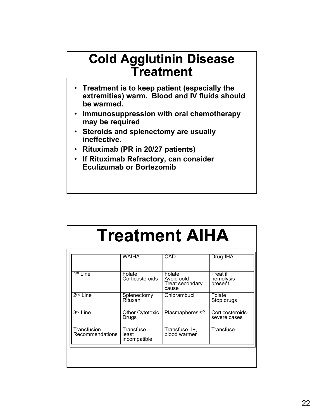### **Cold Agglutinin Disease Treatment**

- **Treatment is to keep patient (especially the extremities) warm. Blood and IV fluids should be warmed.**
- **Immunosuppression with oral chemotherapy may be required**
- **Steroids and splenectomy are usually ineffective.**
- **Rituximab (PR in 20/27 patients)**
- **If Rituximab Refractory, can consider Eculizumab or Bortezomib**

# **Treatment AIHA**

|                                | <b>WAIHA</b>                         | CAD                                              | Drug-IHA                         |
|--------------------------------|--------------------------------------|--------------------------------------------------|----------------------------------|
| $1st$ Line                     | Folate<br>Corticosteroids            | Folate<br>Avoid cold<br>Treat secondary<br>cause | Treat if<br>hemolysis<br>present |
| $2nd$ Line                     | Splenectomy<br>Rituxan               | Chlorambucil                                     | Folate<br>Stop drugs             |
| 3 <sup>rd</sup> Line           | <b>Other Cytotoxic</b><br>Drugs      | Plasmapheresis?                                  | Corticosteroids-<br>severe cases |
| Transfusion<br>Recommendations | Transfuse –<br>least<br>incompatible | Transfuse-I+.<br>blood warmer                    | <b>Transfuse</b>                 |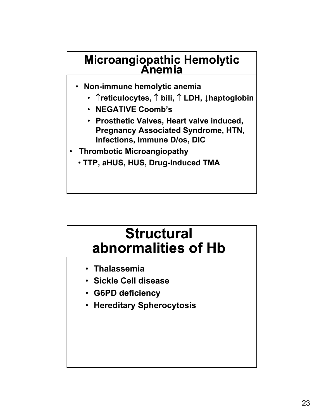# **Microangiopathic Hemolytic Anemia**

- **Non-immune hemolytic anemia**
	- **reticulocytes, bili, LDH, ↓haptoglobin**
	- **NEGATIVE Coomb's**
	- **Prosthetic Valves, Heart valve induced, Pregnancy Associated Syndrome, HTN, Infections, Immune D/os, DIC**
- **Thrombotic Microangiopathy**
	- **TTP, aHUS, HUS, Drug-Induced TMA**

### **Structural abnormalities of Hb**

- **Thalassemia**
- **Sickle Cell disease**
- **G6PD deficiency**
- **Hereditary Spherocytosis**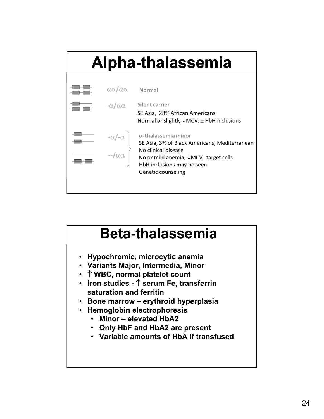

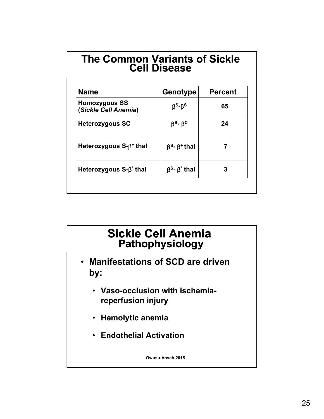#### **The Common Variants of Sickle Cell Disease**

| <b>Name</b>                                  | Genotype                                         | <b>Percent</b> |
|----------------------------------------------|--------------------------------------------------|----------------|
| <b>Homozygous SS</b><br>(Sickle Cell Anemia) | $\beta$ <sup>s</sup> - $\beta$ <sup>s</sup>      | 65             |
| <b>Heterozygous SC</b>                       | $\beta$ <sup>s</sup> - $\beta$ <sup>c</sup>      | 24             |
| Heterozygous $S-\beta^+$ thal                | $\beta$ <sup>s</sup> - $\beta$ <sup>+</sup> thal |                |
| Heterozygous $S-\beta^{\circ}$ thal          | $\beta^s$ - $\beta^s$ thal                       | 3              |

#### **Sickle Cell Anemia Pathophysiology**

- **Manifestations of SCD are driven by:**
	- **Vaso-occlusion with ischemiareperfusion injury**
	- **Hemolytic anemia**
	- **Endothelial Activation**

**Owusu-Ansah 2015**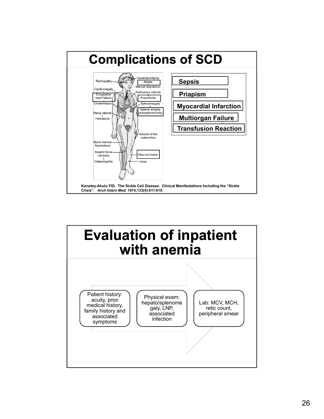